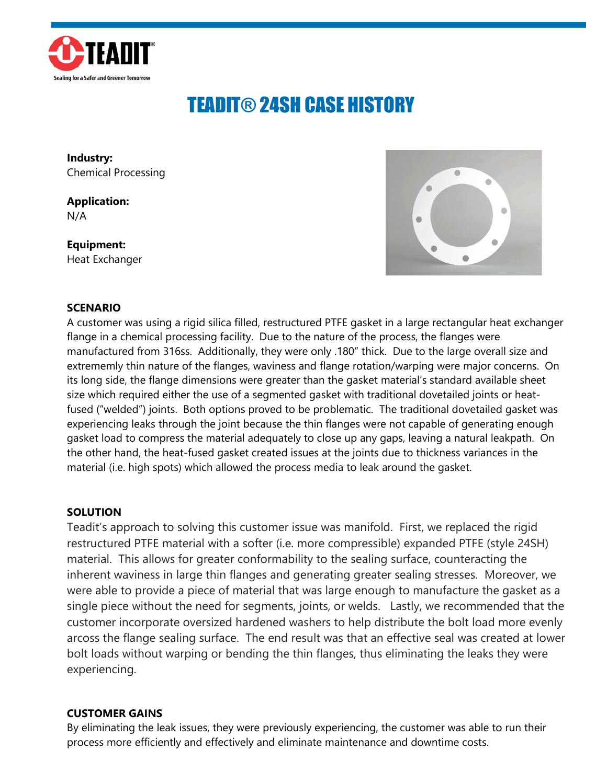

## TEADIT® 24SH CASE HISTORY

**Industry:** Chemical Processing

**Application:** N/A

**Equipment:** Heat Exchanger



## **SCENARIO**

A customer was using a rigid silica filled, restructured PTFE gasket in a large rectangular heat exchanger flange in a chemical processing facility. Due to the nature of the process, the flanges were manufactured from 316ss. Additionally, they were only .180" thick. Due to the large overall size and extrememly thin nature of the flanges, waviness and flange rotation/warping were major concerns. On its long side, the flange dimensions were greater than the gasket material's standard available sheet size which required either the use of a segmented gasket with traditional dovetailed joints or heatfused ("welded") joints. Both options proved to be problematic. The traditional dovetailed gasket was experiencing leaks through the joint because the thin flanges were not capable of generating enough gasket load to compress the material adequately to close up any gaps, leaving a natural leakpath. On the other hand, the heat-fused gasket created issues at the joints due to thickness variances in the material (i.e. high spots) which allowed the process media to leak around the gasket.

## **SOLUTION**

Teadit's approach to solving this customer issue was manifold. First, we replaced the rigid restructured PTFE material with a softer (i.e. more compressible) expanded PTFE (style 24SH) material. This allows for greater conformability to the sealing surface, counteracting the inherent waviness in large thin flanges and generating greater sealing stresses. Moreover, we were able to provide a piece of material that was large enough to manufacture the gasket as a single piece without the need for segments, joints, or welds. Lastly, we recommended that the customer incorporate oversized hardened washers to help distribute the bolt load more evenly arcoss the flange sealing surface. The end result was that an effective seal was created at lower bolt loads without warping or bending the thin flanges, thus eliminating the leaks they were experiencing.

## **CUSTOMER GAINS**

By eliminating the leak issues, they were previously experiencing, the customer was able to run their process more efficiently and effectively and eliminate maintenance and downtime costs.